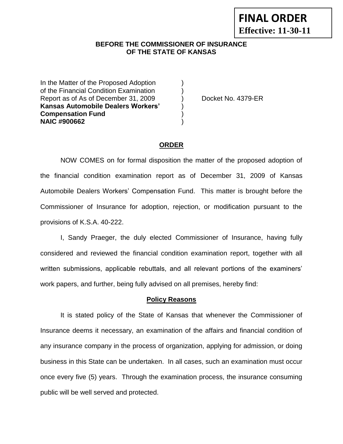### **BEFORE THE COMMISSIONER OF INSURANCE OF THE STATE OF KANSAS**

In the Matter of the Proposed Adoption of the Financial Condition Examination ) Report as of As of December 31, 2009 (a) Docket No. 4379-ER **Kansas Automobile Dealers Workers'** ) **Compensation Fund** ) **NAIC #900662** )

#### **ORDER**

NOW COMES on for formal disposition the matter of the proposed adoption of the financial condition examination report as of December 31, 2009 of Kansas Automobile Dealers Workers' Compensation Fund. This matter is brought before the Commissioner of Insurance for adoption, rejection, or modification pursuant to the provisions of K.S.A. 40-222.

I, Sandy Praeger, the duly elected Commissioner of Insurance, having fully considered and reviewed the financial condition examination report, together with all written submissions, applicable rebuttals, and all relevant portions of the examiners' work papers, and further, being fully advised on all premises, hereby find:

#### **Policy Reasons**

It is stated policy of the State of Kansas that whenever the Commissioner of Insurance deems it necessary, an examination of the affairs and financial condition of any insurance company in the process of organization, applying for admission, or doing business in this State can be undertaken. In all cases, such an examination must occur once every five (5) years. Through the examination process, the insurance consuming public will be well served and protected.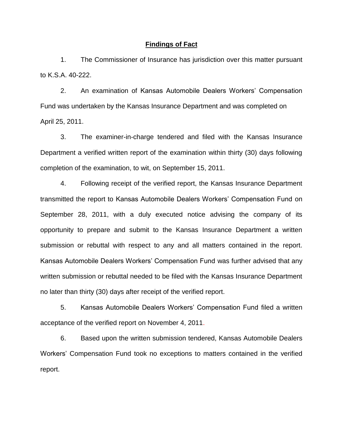#### **Findings of Fact**

1. The Commissioner of Insurance has jurisdiction over this matter pursuant to K.S.A. 40-222.

2. An examination of Kansas Automobile Dealers Workers' Compensation Fund was undertaken by the Kansas Insurance Department and was completed on April 25, 2011.

3. The examiner-in-charge tendered and filed with the Kansas Insurance Department a verified written report of the examination within thirty (30) days following completion of the examination, to wit, on September 15, 2011.

4. Following receipt of the verified report, the Kansas Insurance Department transmitted the report to Kansas Automobile Dealers Workers' Compensation Fund on September 28, 2011, with a duly executed notice advising the company of its opportunity to prepare and submit to the Kansas Insurance Department a written submission or rebuttal with respect to any and all matters contained in the report. Kansas Automobile Dealers Workers' Compensation Fund was further advised that any written submission or rebuttal needed to be filed with the Kansas Insurance Department no later than thirty (30) days after receipt of the verified report.

5. Kansas Automobile Dealers Workers' Compensation Fund filed a written acceptance of the verified report on November 4, 2011.

6. Based upon the written submission tendered, Kansas Automobile Dealers Workers' Compensation Fund took no exceptions to matters contained in the verified report.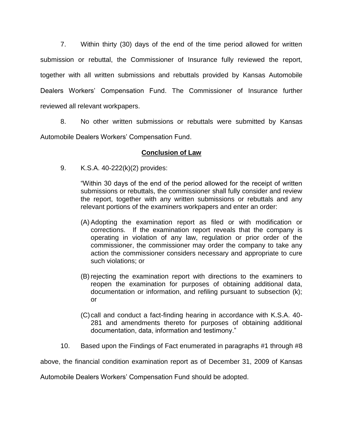7. Within thirty (30) days of the end of the time period allowed for written submission or rebuttal, the Commissioner of Insurance fully reviewed the report, together with all written submissions and rebuttals provided by Kansas Automobile Dealers Workers' Compensation Fund. The Commissioner of Insurance further reviewed all relevant workpapers.

8. No other written submissions or rebuttals were submitted by Kansas Automobile Dealers Workers' Compensation Fund.

# **Conclusion of Law**

9. K.S.A. 40-222(k)(2) provides:

"Within 30 days of the end of the period allowed for the receipt of written submissions or rebuttals, the commissioner shall fully consider and review the report, together with any written submissions or rebuttals and any relevant portions of the examiners workpapers and enter an order:

- (A) Adopting the examination report as filed or with modification or corrections. If the examination report reveals that the company is operating in violation of any law, regulation or prior order of the commissioner, the commissioner may order the company to take any action the commissioner considers necessary and appropriate to cure such violations; or
- (B) rejecting the examination report with directions to the examiners to reopen the examination for purposes of obtaining additional data, documentation or information, and refiling pursuant to subsection (k); or
- (C)call and conduct a fact-finding hearing in accordance with K.S.A. 40- 281 and amendments thereto for purposes of obtaining additional documentation, data, information and testimony."
- 10. Based upon the Findings of Fact enumerated in paragraphs #1 through #8

above, the financial condition examination report as of December 31, 2009 of Kansas

Automobile Dealers Workers' Compensation Fund should be adopted.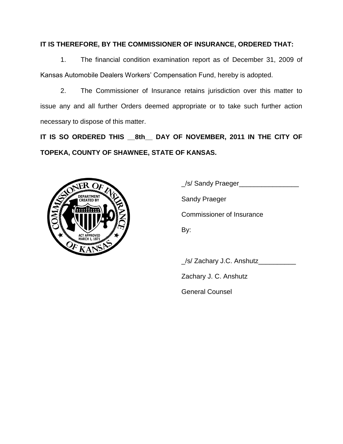# **IT IS THEREFORE, BY THE COMMISSIONER OF INSURANCE, ORDERED THAT:**

1. The financial condition examination report as of December 31, 2009 of Kansas Automobile Dealers Workers' Compensation Fund, hereby is adopted.

2. The Commissioner of Insurance retains jurisdiction over this matter to issue any and all further Orders deemed appropriate or to take such further action necessary to dispose of this matter.

**IT IS SO ORDERED THIS \_\_8th\_\_ DAY OF NOVEMBER, 2011 IN THE CITY OF TOPEKA, COUNTY OF SHAWNEE, STATE OF KANSAS.**



\_/s/ Sandy Praeger\_\_\_\_\_\_\_\_\_\_\_\_\_\_\_\_ Sandy Praeger Commissioner of Insurance By:

\_/s/ Zachary J.C. Anshutz\_\_\_\_\_\_\_\_\_\_

Zachary J. C. Anshutz

General Counsel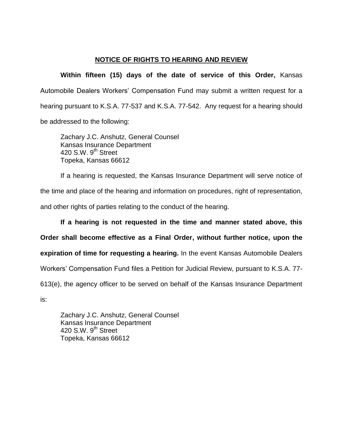## **NOTICE OF RIGHTS TO HEARING AND REVIEW**

**Within fifteen (15) days of the date of service of this Order,** Kansas Automobile Dealers Workers' Compensation Fund may submit a written request for a hearing pursuant to K.S.A. 77-537 and K.S.A. 77-542. Any request for a hearing should be addressed to the following:

Zachary J.C. Anshutz, General Counsel Kansas Insurance Department  $420$  S.W.  $9^{th}$  Street Topeka, Kansas 66612

If a hearing is requested, the Kansas Insurance Department will serve notice of the time and place of the hearing and information on procedures, right of representation, and other rights of parties relating to the conduct of the hearing.

**If a hearing is not requested in the time and manner stated above, this Order shall become effective as a Final Order, without further notice, upon the expiration of time for requesting a hearing.** In the event Kansas Automobile Dealers Workers' Compensation Fund files a Petition for Judicial Review, pursuant to K.S.A. 77- 613(e), the agency officer to be served on behalf of the Kansas Insurance Department is:

Zachary J.C. Anshutz, General Counsel Kansas Insurance Department 420 S.W.  $9<sup>th</sup>$  Street Topeka, Kansas 66612